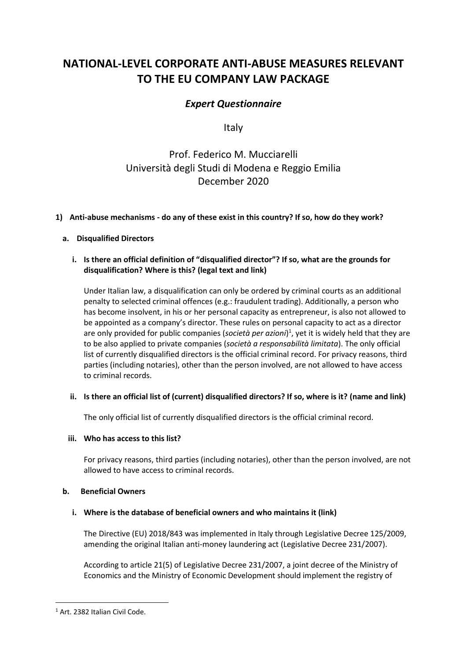# **NATIONAL-LEVEL CORPORATE ANTI-ABUSE MEASURES RELEVANT TO THE EU COMPANY LAW PACKAGE**

## *Expert Questionnaire*

Italy

## Prof. Federico M. Mucciarelli Università degli Studi di Modena e Reggio Emilia December 2020

## **1) Anti-abuse mechanisms - do any of these exist in this country? If so, how do they work?**

## **a. Disqualified Directors**

## **i. Is there an official definition of "disqualified director"? If so, what are the grounds for disqualification? Where is this? (legal text and link)**

Under Italian law, a disqualification can only be ordered by criminal courts as an additional penalty to selected criminal offences (e.g.: fraudulent trading). Additionally, a person who has become insolvent, in his or her personal capacity as entrepreneur, is also not allowed to be appointed as a company's director. These rules on personal capacity to act as a director are only provided for public companies (*società per azioni*) 1 , yet it is widely held that they are to be also applied to private companies (*società a responsabilità limitata*). The only official list of currently disqualified directors is the official criminal record. For privacy reasons, third parties (including notaries), other than the person involved, are not allowed to have access to criminal records.

## **ii. Is there an official list of (current) disqualified directors? If so, where is it? (name and link)**

The only official list of currently disqualified directors is the official criminal record.

## **iii. Who has access to this list?**

For privacy reasons, third parties (including notaries), other than the person involved, are not allowed to have access to criminal records.

## **b. Beneficial Owners**

## **i. Where is the database of beneficial owners and who maintains it (link)**

The Directive (EU) 2018/843 was implemented in Italy through Legislative Decree 125/2009, amending the original Italian anti-money laundering act (Legislative Decree 231/2007).

According to article 21(5) of Legislative Decree 231/2007, a joint decree of the Ministry of Economics and the Ministry of Economic Development should implement the registry of

<sup>&</sup>lt;sup>1</sup> Art. 2382 Italian Civil Code.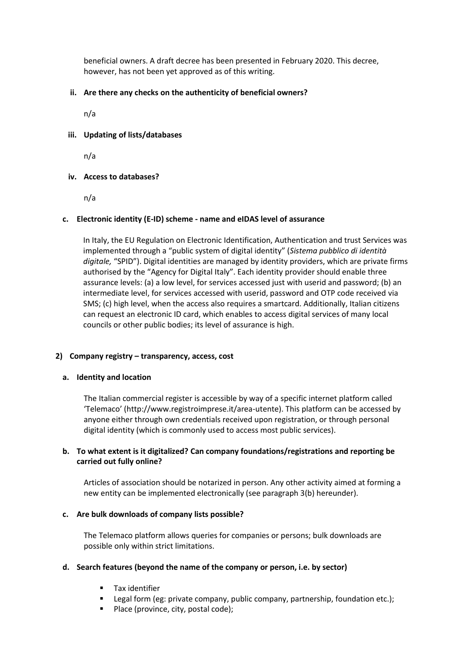beneficial owners. A draft decree has been presented in February 2020. This decree, however, has not been yet approved as of this writing.

### **ii. Are there any checks on the authenticity of beneficial owners?**

n/a

#### **iii. Updating of lists/databases**

n/a

#### **iv. Access to databases?**

n/a

#### **c. Electronic identity (E-ID) scheme - name and eIDAS level of assurance**

In Italy, the EU Regulation on Electronic Identification, Authentication and trust Services was implemented through a "public system of digital identity" (*Sistema pubblico di identità digitale,* "SPID"). Digital identities are managed by identity providers, which are private firms authorised by the "Agency for Digital Italy". Each identity provider should enable three assurance levels: (a) a low level, for services accessed just with userid and password; (b) an intermediate level, for services accessed with userid, password and OTP code received via SMS; (c) high level, when the access also requires a smartcard. Additionally, Italian citizens can request an electronic ID card, which enables to access digital services of many local councils or other public bodies; its level of assurance is high.

#### **2) Company registry – transparency, access, cost**

#### **a. Identity and location**

The Italian commercial register is accessible by way of a specific internet platform called 'Telemaco' (http://www.registroimprese.it/area-utente). This platform can be accessed by anyone either through own credentials received upon registration, or through personal digital identity (which is commonly used to access most public services).

#### **b. To what extent is it digitalized? Can company foundations/registrations and reporting be carried out fully online?**

Articles of association should be notarized in person. Any other activity aimed at forming a new entity can be implemented electronically (see paragraph 3(b) hereunder).

#### **c. Are bulk downloads of company lists possible?**

The Telemaco platform allows queries for companies or persons; bulk downloads are possible only within strict limitations.

#### **d. Search features (beyond the name of the company or person, i.e. by sector)**

- Tax identifier
- Legal form (eg: private company, public company, partnership, foundation etc.);
- Place (province, city, postal code);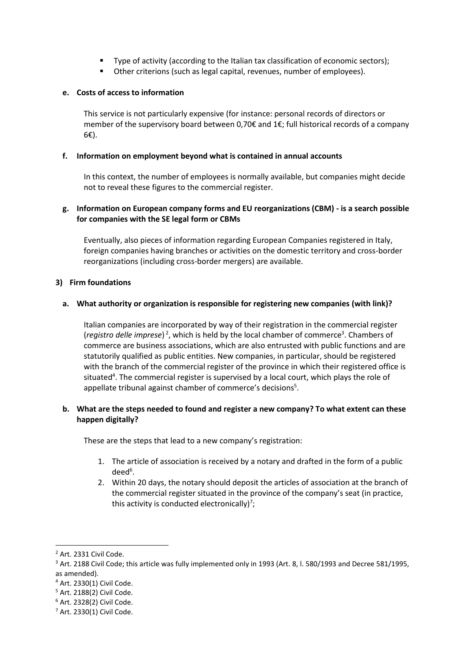- Type of activity (according to the Italian tax classification of economic sectors);
- Other criterions (such as legal capital, revenues, number of employees).

### **e. Costs of access to information**

This service is not particularly expensive (for instance: personal records of directors or member of the supervisory board between 0,70€ and 1€; full historical records of a company 6€).

### **f. Information on employment beyond what is contained in annual accounts**

In this context, the number of employees is normally available, but companies might decide not to reveal these figures to the commercial register.

### **g. Information on European company forms and EU reorganizations (CBM) - is a search possible for companies with the SE legal form or CBMs**

Eventually, also pieces of information regarding European Companies registered in Italy, foreign companies having branches or activities on the domestic territory and cross-border reorganizations (including cross-border mergers) are available.

#### **3) Firm foundations**

#### **a. What authority or organization is responsible for registering new companies (with link)?**

Italian companies are incorporated by way of their registration in the commercial register (*registro delle imprese*)<sup>2</sup>, which is held by the local chamber of commerce<sup>3</sup>. Chambers of commerce are business associations, which are also entrusted with public functions and are statutorily qualified as public entities. New companies, in particular, should be registered with the branch of the commercial register of the province in which their registered office is situated<sup>4</sup>. The commercial register is supervised by a local court, which plays the role of appellate tribunal against chamber of commerce's decisions<sup>5</sup>.

#### **b. What are the steps needed to found and register a new company? To what extent can these happen digitally?**

These are the steps that lead to a new company's registration:

- 1. The article of association is received by a notary and drafted in the form of a public deed<sup>6</sup>.
- 2. Within 20 days, the notary should deposit the articles of association at the branch of the commercial register situated in the province of the company's seat (in practice, this activity is conducted electronically)<sup>7</sup>;

<sup>&</sup>lt;sup>2</sup> Art. 2331 Civil Code.

<sup>&</sup>lt;sup>3</sup> Art. 2188 Civil Code; this article was fully implemented only in 1993 (Art. 8, l. 580/1993 and Decree 581/1995, as amended).

<sup>4</sup> Art. 2330(1) Civil Code.

<sup>5</sup> Art. 2188(2) Civil Code.

<sup>6</sup> Art. 2328(2) Civil Code.

<sup>7</sup> Art. 2330(1) Civil Code.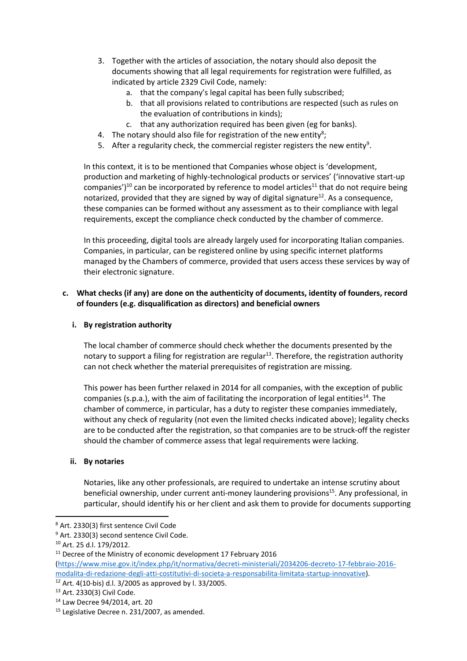- 3. Together with the articles of association, the notary should also deposit the documents showing that all legal requirements for registration were fulfilled, as indicated by article 2329 Civil Code, namely:
	- a. that the company's legal capital has been fully subscribed;
	- b. that all provisions related to contributions are respected (such as rules on the evaluation of contributions in kinds);
	- c. that any authorization required has been given (eg for banks).
- 4. The notary should also file for registration of the new entity<sup>8</sup>;
- 5. After a regularity check, the commercial register registers the new entity<sup>9</sup>.

In this context, it is to be mentioned that Companies whose object is 'development, production and marketing of highly-technological products or services' ('innovative start-up companies')<sup>10</sup> can be incorporated by reference to model articles<sup>11</sup> that do not require being notarized, provided that they are signed by way of digital signature<sup>12</sup>. As a consequence, these companies can be formed without any assessment as to their compliance with legal requirements, except the compliance check conducted by the chamber of commerce.

In this proceeding, digital tools are already largely used for incorporating Italian companies. Companies, in particular, can be registered online by using specific internet platforms managed by the Chambers of commerce, provided that users access these services by way of their electronic signature.

#### **c. What checks (if any) are done on the authenticity of documents, identity of founders, record of founders (e.g. disqualification as directors) and beneficial owners**

#### **i. By registration authority**

The local chamber of commerce should check whether the documents presented by the notary to support a filing for registration are regular<sup>13</sup>. Therefore, the registration authority can not check whether the material prerequisites of registration are missing.

This power has been further relaxed in 2014 for all companies, with the exception of public companies (s.p.a.), with the aim of facilitating the incorporation of legal entities<sup>14</sup>. The chamber of commerce, in particular, has a duty to register these companies immediately, without any check of regularity (not even the limited checks indicated above); legality checks are to be conducted after the registration, so that companies are to be struck-off the register should the chamber of commerce assess that legal requirements were lacking.

#### **ii. By notaries**

Notaries, like any other professionals, are required to undertake an intense scrutiny about beneficial ownership, under current anti-money laundering provisions<sup>15</sup>. Any professional, in particular, should identify his or her client and ask them to provide for documents supporting

<sup>8</sup> Art. 2330(3) first sentence Civil Code

<sup>&</sup>lt;sup>9</sup> Art. 2330(3) second sentence Civil Code.

<sup>10</sup> Art. 25 d.l. 179/2012.

 $11$  Decree of the Ministry of economic development 17 February 2016

[<sup>\(</sup>https://www.mise.gov.it/index.php/it/normativa/decreti-ministeriali/2034206-decreto-17-febbraio-2016](https://www.mise.gov.it/index.php/it/normativa/decreti-ministeriali/2034206-decreto-17-febbraio-2016-modalita-di-redazione-degli-atti-costitutivi-di-societa-a-responsabilita-limitata-startup-innovative) [modalita-di-redazione-degli-atti-costitutivi-di-societa-a-responsabilita-limitata-startup-innovative\)](https://www.mise.gov.it/index.php/it/normativa/decreti-ministeriali/2034206-decreto-17-febbraio-2016-modalita-di-redazione-degli-atti-costitutivi-di-societa-a-responsabilita-limitata-startup-innovative).

<sup>12</sup> Art. 4(10-bis) d.l. 3/2005 as approved by l. 33/2005.

<sup>13</sup> Art. 2330(3) Civil Code.

<sup>14</sup> Law Decree 94/2014, art. 20

<sup>&</sup>lt;sup>15</sup> Legislative Decree n. 231/2007, as amended.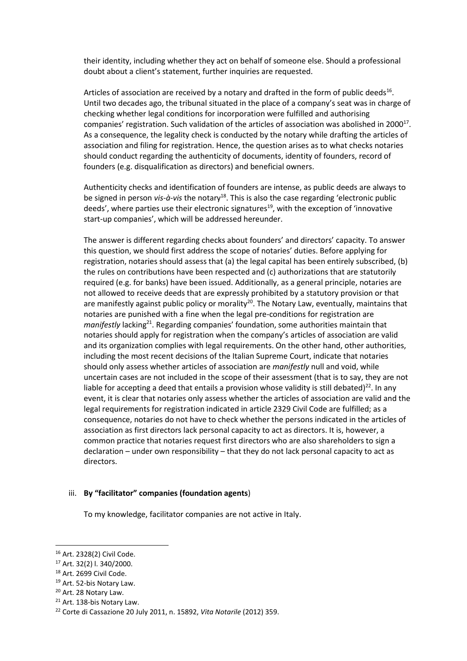their identity, including whether they act on behalf of someone else. Should a professional doubt about a client's statement, further inquiries are requested.

Articles of association are received by a notary and drafted in the form of public deeds<sup>16</sup>. Until two decades ago, the tribunal situated in the place of a company's seat was in charge of checking whether legal conditions for incorporation were fulfilled and authorising companies' registration. Such validation of the articles of association was abolished in 2000 $^{17}$ . As a consequence, the legality check is conducted by the notary while drafting the articles of association and filing for registration. Hence, the question arises as to what checks notaries should conduct regarding the authenticity of documents, identity of founders, record of founders (e.g. disqualification as directors) and beneficial owners.

Authenticity checks and identification of founders are intense, as public deeds are always to be signed in person *vis-à-vis* the notary<sup>18</sup>. This is also the case regarding 'electronic public deeds', where parties use their electronic signatures<sup>19</sup>, with the exception of 'innovative start-up companies', which will be addressed hereunder.

The answer is different regarding checks about founders' and directors' capacity. To answer this question, we should first address the scope of notaries' duties. Before applying for registration, notaries should assess that (a) the legal capital has been entirely subscribed, (b) the rules on contributions have been respected and (c) authorizations that are statutorily required (e.g. for banks) have been issued. Additionally, as a general principle, notaries are not allowed to receive deeds that are expressly prohibited by a statutory provision or that are manifestly against public policy or morality<sup>20</sup>. The Notary Law, eventually, maintains that notaries are punished with a fine when the legal pre-conditions for registration are *manifestly* lacking<sup>21</sup>. Regarding companies' foundation, some authorities maintain that notaries should apply for registration when the company's articles of association are valid and its organization complies with legal requirements. On the other hand, other authorities, including the most recent decisions of the Italian Supreme Court, indicate that notaries should only assess whether articles of association are *manifestly* null and void, while uncertain cases are not included in the scope of their assessment (that is to say, they are not liable for accepting a deed that entails a provision whose validity is still debated)<sup>22</sup>. In any event, it is clear that notaries only assess whether the articles of association are valid and the legal requirements for registration indicated in article 2329 Civil Code are fulfilled; as a consequence, notaries do not have to check whether the persons indicated in the articles of association as first directors lack personal capacity to act as directors. It is, however, a common practice that notaries request first directors who are also shareholders to sign a declaration – under own responsibility – that they do not lack personal capacity to act as directors.

#### iii. **By "facilitator" companies (foundation agents**)

To my knowledge, facilitator companies are not active in Italy.

<sup>16</sup> Art. 2328(2) Civil Code.

<sup>17</sup> Art. 32(2) l. 340/2000.

<sup>&</sup>lt;sup>18</sup> Art. 2699 Civil Code.

<sup>19</sup> Art. 52-bis Notary Law.

<sup>20</sup> Art. 28 Notary Law.

<sup>&</sup>lt;sup>21</sup> Art. 138-bis Notary Law.

<sup>22</sup> Corte di Cassazione 20 July 2011, n. 15892, *Vita Notarile* (2012) 359.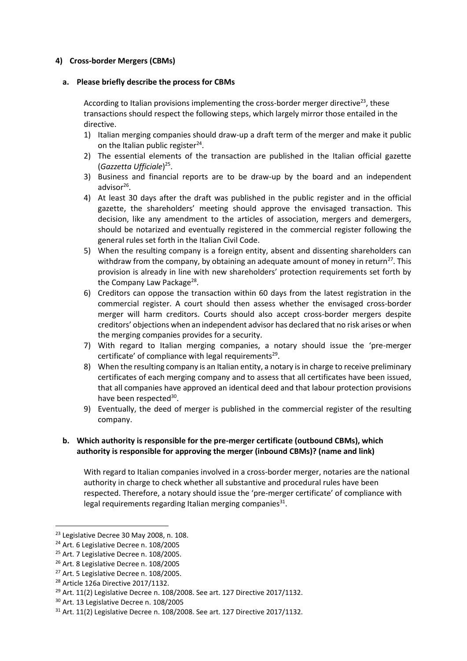#### **4) Cross-border Mergers (CBMs)**

#### **a. Please briefly describe the process for CBMs**

According to Italian provisions implementing the cross-border merger directive<sup>23</sup>, these transactions should respect the following steps, which largely mirror those entailed in the directive.

- 1) Italian merging companies should draw-up a draft term of the merger and make it public on the Italian public register<sup>24</sup>.
- 2) The essential elements of the transaction are published in the Italian official gazette (*Gazzetta Ufficiale*) 25 .
- 3) Business and financial reports are to be draw-up by the board and an independent advisor<sup>26</sup>.
- 4) At least 30 days after the draft was published in the public register and in the official gazette, the shareholders' meeting should approve the envisaged transaction. This decision, like any amendment to the articles of association, mergers and demergers, should be notarized and eventually registered in the commercial register following the general rules set forth in the Italian Civil Code.
- 5) When the resulting company is a foreign entity, absent and dissenting shareholders can withdraw from the company, by obtaining an adequate amount of money in return<sup>27</sup>. This provision is already in line with new shareholders' protection requirements set forth by the Company Law Package<sup>28</sup>.
- 6) Creditors can oppose the transaction within 60 days from the latest registration in the commercial register. A court should then assess whether the envisaged cross-border merger will harm creditors. Courts should also accept cross-border mergers despite creditors' objections when an independent advisor has declared that no risk arises or when the merging companies provides for a security.
- 7) With regard to Italian merging companies, a notary should issue the 'pre-merger certificate' of compliance with legal requirements<sup>29</sup>.
- 8) When the resulting company is an Italian entity, a notary is in charge to receive preliminary certificates of each merging company and to assess that all certificates have been issued, that all companies have approved an identical deed and that labour protection provisions have been respected<sup>30</sup>.
- 9) Eventually, the deed of merger is published in the commercial register of the resulting company.

#### **b. Which authority is responsible for the pre-merger certificate (outbound CBMs), which authority is responsible for approving the merger (inbound CBMs)? (name and link)**

With regard to Italian companies involved in a cross-border merger, notaries are the national authority in charge to check whether all substantive and procedural rules have been respected. Therefore, a notary should issue the 'pre-merger certificate' of compliance with legal requirements regarding Italian merging companies $^{31}$ .

<sup>&</sup>lt;sup>23</sup> Legislative Decree 30 May 2008, n. 108.

<sup>&</sup>lt;sup>24</sup> Art. 6 Legislative Decree n. 108/2005

<sup>&</sup>lt;sup>25</sup> Art. 7 Legislative Decree n. 108/2005.

<sup>26</sup> Art. 8 Legislative Decree n. 108/2005

<sup>&</sup>lt;sup>27</sup> Art. 5 Legislative Decree n. 108/2005.

<sup>28</sup> Article 126a Directive 2017/1132.

 $29$  Art. 11(2) Legislative Decree n. 108/2008. See art. 127 Directive 2017/1132.

<sup>30</sup> Art. 13 Legislative Decree n. 108/2005

<sup>31</sup> Art. 11(2) Legislative Decree n. 108/2008. See art. 127 Directive 2017/1132.